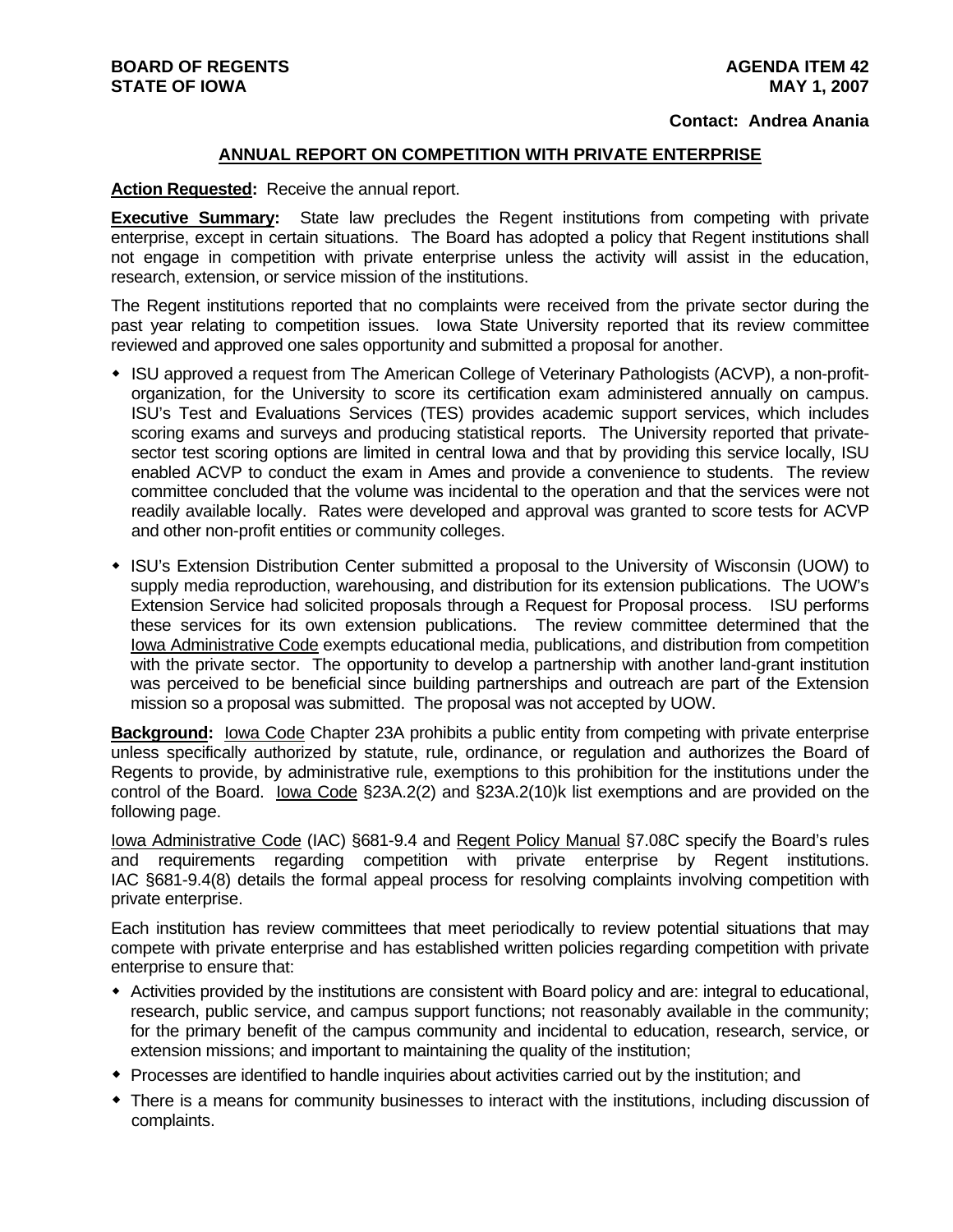## **Contact: Andrea Anania**

## **ANNUAL REPORT ON COMPETITION WITH PRIVATE ENTERPRISE**

## **Action Requested:** Receive the annual report.

**Executive Summary:** State law precludes the Regent institutions from competing with private enterprise, except in certain situations. The Board has adopted a policy that Regent institutions shall not engage in competition with private enterprise unless the activity will assist in the education, research, extension, or service mission of the institutions.

The Regent institutions reported that no complaints were received from the private sector during the past year relating to competition issues. Iowa State University reported that its review committee reviewed and approved one sales opportunity and submitted a proposal for another.

- ISU approved a request from The American College of Veterinary Pathologists (ACVP), a non-profitorganization, for the University to score its certification exam administered annually on campus. ISU's Test and Evaluations Services (TES) provides academic support services, which includes scoring exams and surveys and producing statistical reports. The University reported that privatesector test scoring options are limited in central lowa and that by providing this service locally, ISU enabled ACVP to conduct the exam in Ames and provide a convenience to students. The review committee concluded that the volume was incidental to the operation and that the services were not readily available locally. Rates were developed and approval was granted to score tests for ACVP and other non-profit entities or community colleges.
- ISU's Extension Distribution Center submitted a proposal to the University of Wisconsin (UOW) to supply media reproduction, warehousing, and distribution for its extension publications. The UOW's Extension Service had solicited proposals through a Request for Proposal process. ISU performs these services for its own extension publications. The review committee determined that the Iowa Administrative Code exempts educational media, publications, and distribution from competition with the private sector. The opportunity to develop a partnership with another land-grant institution was perceived to be beneficial since building partnerships and outreach are part of the Extension mission so a proposal was submitted. The proposal was not accepted by UOW.

**Background:** Iowa Code Chapter 23A prohibits a public entity from competing with private enterprise unless specifically authorized by statute, rule, ordinance, or regulation and authorizes the Board of Regents to provide, by administrative rule, exemptions to this prohibition for the institutions under the control of the Board. Iowa Code §23A.2(2) and §23A.2(10)k list exemptions and are provided on the following page.

Iowa Administrative Code (IAC) §681-9.4 and Regent Policy Manual §7.08C specify the Board's rules and requirements regarding competition with private enterprise by Regent institutions. IAC §681-9.4(8) details the formal appeal process for resolving complaints involving competition with private enterprise.

Each institution has review committees that meet periodically to review potential situations that may compete with private enterprise and has established written policies regarding competition with private enterprise to ensure that:

- Activities provided by the institutions are consistent with Board policy and are: integral to educational, research, public service, and campus support functions; not reasonably available in the community; for the primary benefit of the campus community and incidental to education, research, service, or extension missions; and important to maintaining the quality of the institution;
- Processes are identified to handle inquiries about activities carried out by the institution; and
- There is a means for community businesses to interact with the institutions, including discussion of complaints.